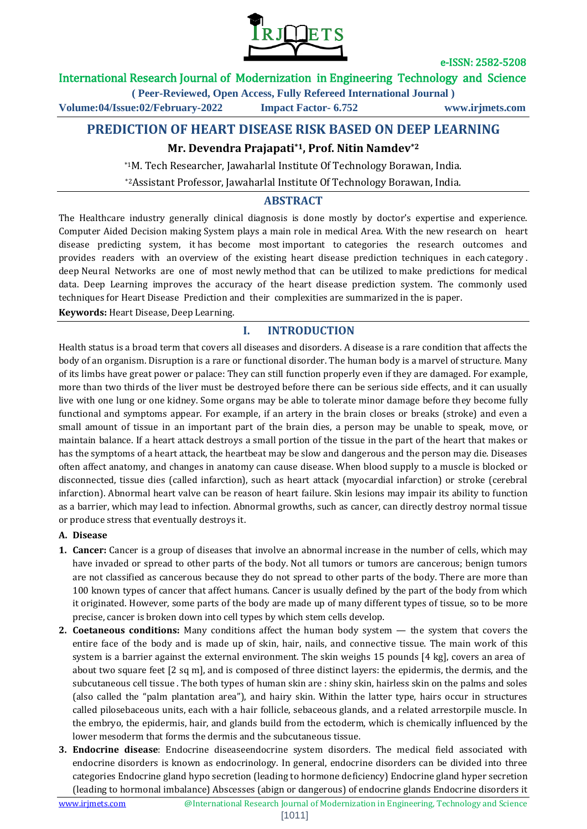

### International Research Journal of Modernization in Engineering Technology and Science

**( Peer-Reviewed, Open Access, Fully Refereed International Journal ) Volume:04/Issue:02/February-2022 Impact Factor- 6.752 www.irjmets.com**

# **PREDICTION OF HEART DISEASE RISK BASED ON DEEP LEARNING**

# **Mr. Devendra Prajapati\*1, Prof. Nitin Namdev\*2**

\*1M. Tech Researcher, Jawaharlal Institute Of Technology Borawan, India.

\*2Assistant Professor, Jawaharlal Institute Of Technology Borawan, India.

### **ABSTRACT**

The Healthcare industry generally clinical diagnosis is done mostly by doctor's expertise and experience. Computer Aided Decision making System plays a main role in medical Area. With the new research on heart disease predicting system, it has become most important to categories the research outcomes and provides readers with an overview of the existing heart disease prediction techniques in each category . deep Neural Networks are one of most newly method that can be utilized to make predictions for medical data. Deep Learning improves the accuracy of the heart disease prediction system. The commonly used techniques for Heart Disease Prediction and their complexities are summarized in the is paper.

**Keywords:** Heart Disease, Deep Learning.

## **I. INTRODUCTION**

Health status is a broad term that covers all diseases and disorders. A disease is a rare condition that affects the body of an organism. Disruption is a rare or functional disorder. The human body is a marvel of structure. Many of its limbs have great power or palace: They can still function properly even if they are damaged. For example, more than two thirds of the liver must be destroyed before there can be serious side effects, and it can usually live with one lung or one kidney. Some organs may be able to tolerate minor damage before they become fully functional and symptoms appear. For example, if an artery in the brain closes or breaks (stroke) and even a small amount of tissue in an important part of the brain dies, a person may be unable to speak, move, or maintain balance. If a heart attack destroys a small portion of the tissue in the part of the heart that makes or has the symptoms of a heart attack, the heartbeat may be slow and dangerous and the person may die. Diseases often affect anatomy, and changes in anatomy can cause disease. When blood supply to a muscle is blocked or disconnected, tissue dies (called infarction), such as heart attack (myocardial infarction) or stroke (cerebral infarction). Abnormal heart valve can be reason of heart failure. Skin lesions may impair its ability to function as a barrier, which may lead to infection. Abnormal growths, such as cancer, can directly destroy normal tissue or produce stress that eventually destroys it.

#### **A. Disease**

- **1. Cancer:** Cancer is a group of diseases that involve an abnormal increase in the number of cells, which may have invaded or spread to other parts of the body. Not all tumors or tumors are cancerous; benign tumors are not classified as cancerous because they do not spread to other parts of the body. There are more than 100 known types of cancer that affect humans. Cancer is usually defined by the part of the body from which it originated. However, some parts of the body are made up of many different types of tissue, so to be more precise, cancer is broken down into cell types by which stem cells develop.
- **2. Coetaneous conditions:** Many conditions affect the human body system the system that covers the entire face of the body and is made up of skin, hair, nails, and connective tissue. The main work of this system is a barrier against the external environment. The skin weighs 15 pounds [4 kg], covers an area of about two square feet [2 sq m], and is composed of three distinct layers: the epidermis, the dermis, and the subcutaneous cell tissue . The both types of human skin are : shiny skin, hairless skin on the palms and soles (also called the "palm plantation area"), and hairy skin. Within the latter type, hairs occur in structures called pilosebaceous units, each with a hair follicle, sebaceous glands, and a related arrestorpile muscle. In the embryo, the epidermis, hair, and glands build from the ectoderm, which is chemically influenced by the lower mesoderm that forms the dermis and the subcutaneous tissue.
- **3. Endocrine disease**: Endocrine diseaseendocrine system disorders. The medical field associated with endocrine disorders is known as endocrinology. In general, endocrine disorders can be divided into three categories Endocrine gland hypo secretion (leading to hormone deficiency) Endocrine gland hyper secretion (leading to hormonal imbalance) Abscesses (abign or dangerous) of endocrine glands Endocrine disorders it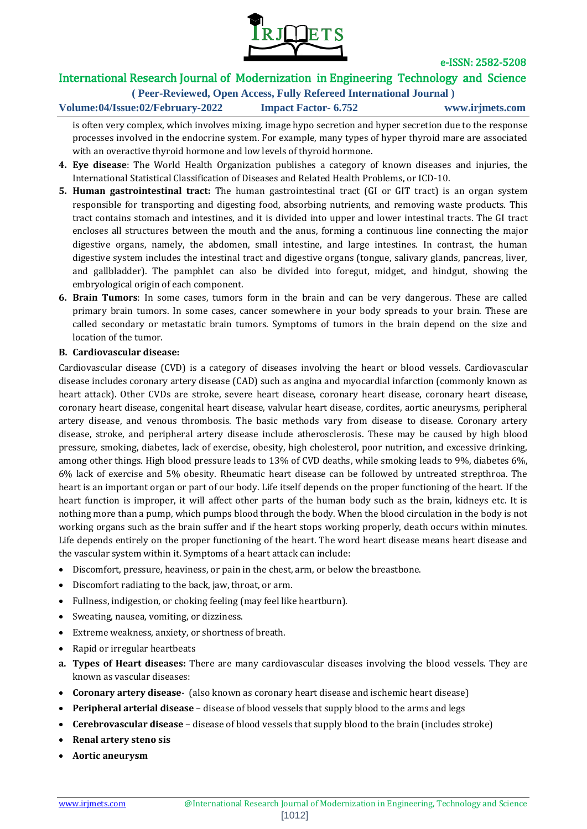

## International Research Journal of Modernization in Engineering Technology and Science

**( Peer-Reviewed, Open Access, Fully Refereed International Journal )**

**Volume:04/Issue:02/February-2022 Impact Factor- 6.752 www.irjmets.com**

is often very complex, which involves mixing. image hypo secretion and hyper secretion due to the response processes involved in the endocrine system. For example, many types of hyper thyroid mare are associated with an overactive thyroid hormone and low levels of thyroid hormone.

- **4. Eye disease**: The World Health Organization publishes a category of known diseases and injuries, the International Statistical Classification of Diseases and Related Health Problems, or ICD-10.
- **5. Human gastrointestinal tract:** The human gastrointestinal tract (GI or GIT tract) is an organ system responsible for transporting and digesting food, absorbing nutrients, and removing waste products. This tract contains stomach and intestines, and it is divided into upper and lower intestinal tracts. The GI tract encloses all structures between the mouth and the anus, forming a continuous line connecting the major digestive organs, namely, the abdomen, small intestine, and large intestines. In contrast, the human digestive system includes the intestinal tract and digestive organs (tongue, salivary glands, pancreas, liver, and gallbladder). The pamphlet can also be divided into foregut, midget, and hindgut, showing the embryological origin of each component.
- **6. Brain Tumors**: In some cases, tumors form in the brain and can be very dangerous. These are called primary brain tumors. In some cases, cancer somewhere in your body spreads to your brain. These are called secondary or metastatic brain tumors. Symptoms of tumors in the brain depend on the size and location of the tumor.

#### **B. Cardiovascular disease:**

Cardiovascular disease (CVD) is a category of diseases involving the heart or blood vessels. Cardiovascular disease includes coronary artery disease (CAD) such as angina and myocardial infarction (commonly known as heart attack). Other CVDs are stroke, severe heart disease, coronary heart disease, coronary heart disease, coronary heart disease, congenital heart disease, valvular heart disease, cordites, aortic aneurysms, peripheral artery disease, and venous thrombosis. The basic methods vary from disease to disease. Coronary artery disease, stroke, and peripheral artery disease include atherosclerosis. These may be caused by high blood pressure, smoking, diabetes, lack of exercise, obesity, high cholesterol, poor nutrition, and excessive drinking, among other things. High blood pressure leads to 13% of CVD deaths, while smoking leads to 9%, diabetes 6%, 6% lack of exercise and 5% obesity. Rheumatic heart disease can be followed by untreated strepthroa. The heart is an important organ or part of our body. Life itself depends on the proper functioning of the heart. If the heart function is improper, it will affect other parts of the human body such as the brain, kidneys etc. It is nothing more than a pump, which pumps blood through the body. When the blood circulation in the body is not working organs such as the brain suffer and if the heart stops working properly, death occurs within minutes. Life depends entirely on the proper functioning of the heart. The word heart disease means heart disease and the vascular system within it. Symptoms of a heart attack can include:

- Discomfort, pressure, heaviness, or pain in the chest, arm, or below the breastbone.
- Discomfort radiating to the back, jaw, throat, or arm.
- Fullness, indigestion, or choking feeling (may feel like heartburn).
- Sweating, nausea, vomiting, or dizziness.
- Extreme weakness, anxiety, or shortness of breath.
- Rapid or irregular heartbeats
- **a. Types of Heart diseases:** There are many cardiovascular diseases involving the blood vessels. They are known as vascular diseases:
- **Coronary artery disease** (also known as coronary heart disease and ischemic heart disease)
- **Peripheral arterial disease** disease of blood vessels that supply blood to the arms and legs
- **Cerebrovascular disease** disease of blood vessels that supply blood to the brain (includes stroke)
- **Renal artery steno sis**
- **Aortic aneurysm**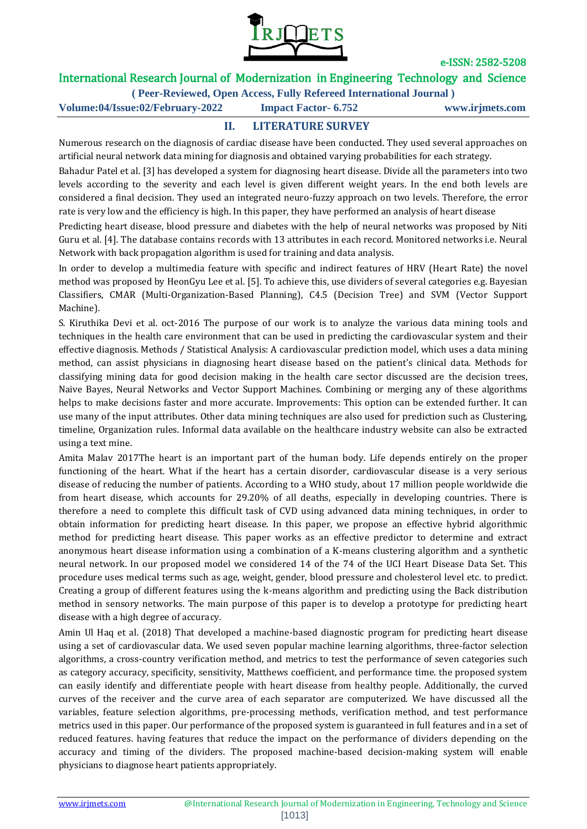

## International Research Journal of Modernization in Engineering Technology and Science

**( Peer-Reviewed, Open Access, Fully Refereed International Journal )**

**Volume:04/Issue:02/February-2022 Impact Factor- 6.752 www.irjmets.com**

# **II. LITERATURE SURVEY**

Numerous research on the diagnosis of cardiac disease have been conducted. They used several approaches on artificial neural network data mining for diagnosis and obtained varying probabilities for each strategy.

Bahadur Patel et al. [3] has developed a system for diagnosing heart disease. Divide all the parameters into two levels according to the severity and each level is given different weight years. In the end both levels are considered a final decision. They used an integrated neuro-fuzzy approach on two levels. Therefore, the error rate is very low and the efficiency is high. In this paper, they have performed an analysis of heart disease

Predicting heart disease, blood pressure and diabetes with the help of neural networks was proposed by Niti Guru et al. [4]. The database contains records with 13 attributes in each record. Monitored networks i.e. Neural Network with back propagation algorithm is used for training and data analysis.

In order to develop a multimedia feature with specific and indirect features of HRV (Heart Rate) the novel method was proposed by HeonGyu Lee et al. [5]. To achieve this, use dividers of several categories e.g. Bayesian Classifiers, CMAR (Multi-Organization-Based Planning), C4.5 (Decision Tree) and SVM (Vector Support Machine).

S. Kiruthika Devi et al. oct-2016 The purpose of our work is to analyze the various data mining tools and techniques in the health care environment that can be used in predicting the cardiovascular system and their effective diagnosis. Methods / Statistical Analysis: A cardiovascular prediction model, which uses a data mining method, can assist physicians in diagnosing heart disease based on the patient's clinical data. Methods for classifying mining data for good decision making in the health care sector discussed are the decision trees, Naive Bayes, Neural Networks and Vector Support Machines. Combining or merging any of these algorithms helps to make decisions faster and more accurate. Improvements: This option can be extended further. It can use many of the input attributes. Other data mining techniques are also used for prediction such as Clustering, timeline, Organization rules. Informal data available on the healthcare industry website can also be extracted using a text mine.

Amita Malav 2017The heart is an important part of the human body. Life depends entirely on the proper functioning of the heart. What if the heart has a certain disorder, cardiovascular disease is a very serious disease of reducing the number of patients. According to a WHO study, about 17 million people worldwide die from heart disease, which accounts for 29.20% of all deaths, especially in developing countries. There is therefore a need to complete this difficult task of CVD using advanced data mining techniques, in order to obtain information for predicting heart disease. In this paper, we propose an effective hybrid algorithmic method for predicting heart disease. This paper works as an effective predictor to determine and extract anonymous heart disease information using a combination of a K-means clustering algorithm and a synthetic neural network. In our proposed model we considered 14 of the 74 of the UCI Heart Disease Data Set. This procedure uses medical terms such as age, weight, gender, blood pressure and cholesterol level etc. to predict. Creating a group of different features using the k-means algorithm and predicting using the Back distribution method in sensory networks. The main purpose of this paper is to develop a prototype for predicting heart disease with a high degree of accuracy.

Amin Ul Haq et al. (2018) That developed a machine-based diagnostic program for predicting heart disease using a set of cardiovascular data. We used seven popular machine learning algorithms, three-factor selection algorithms, a cross-country verification method, and metrics to test the performance of seven categories such as category accuracy, specificity, sensitivity, Matthews coefficient, and performance time. the proposed system can easily identify and differentiate people with heart disease from healthy people. Additionally, the curved curves of the receiver and the curve area of each separator are computerized. We have discussed all the variables, feature selection algorithms, pre-processing methods, verification method, and test performance metrics used in this paper. Our performance of the proposed system is guaranteed in full features and in a set of reduced features. having features that reduce the impact on the performance of dividers depending on the accuracy and timing of the dividers. The proposed machine-based decision-making system will enable physicians to diagnose heart patients appropriately.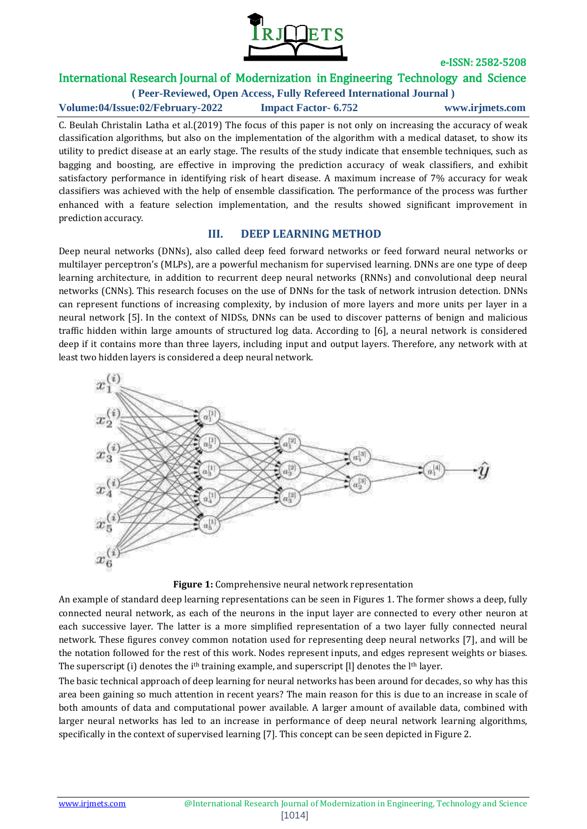

# International Research Journal of Modernization in Engineering Technology and Science

**( Peer-Reviewed, Open Access, Fully Refereed International Journal ) Volume:04/Issue:02/February-2022 Impact Factor- 6.752 www.irjmets.com**

C. Beulah Christalin Latha et al.(2019) The focus of this paper is not only on increasing the accuracy of weak classification algorithms, but also on the implementation of the algorithm with a medical dataset, to show its utility to predict disease at an early stage. The results of the study indicate that ensemble techniques, such as bagging and boosting, are effective in improving the prediction accuracy of weak classifiers, and exhibit satisfactory performance in identifying risk of heart disease. A maximum increase of 7% accuracy for weak classifiers was achieved with the help of ensemble classification. The performance of the process was further enhanced with a feature selection implementation, and the results showed significant improvement in prediction accuracy.

### **III. DEEP LEARNING METHOD**

Deep neural networks (DNNs), also called deep feed forward networks or feed forward neural networks or multilayer perceptron's (MLPs), are a powerful mechanism for supervised learning. DNNs are one type of deep learning architecture, in addition to recurrent deep neural networks (RNNs) and convolutional deep neural networks (CNNs). This research focuses on the use of DNNs for the task of network intrusion detection. DNNs can represent functions of increasing complexity, by inclusion of more layers and more units per layer in a neural network [5]. In the context of NIDSs, DNNs can be used to discover patterns of benign and malicious traffic hidden within large amounts of structured log data. According to [6], a neural network is considered deep if it contains more than three layers, including input and output layers. Therefore, any network with at least two hidden layers is considered a deep neural network.



#### **Figure 1:** Comprehensive neural network representation

An example of standard deep learning representations can be seen in Figures 1. The former shows a deep, fully connected neural network, as each of the neurons in the input layer are connected to every other neuron at each successive layer. The latter is a more simplified representation of a two layer fully connected neural network. These figures convey common notation used for representing deep neural networks [7], and will be the notation followed for the rest of this work. Nodes represent inputs, and edges represent weights or biases. The superscript (i) denotes the i<sup>th</sup> training example, and superscript [I] denotes the l<sup>th</sup> layer.

The basic technical approach of deep learning for neural networks has been around for decades, so why has this area been gaining so much attention in recent years? The main reason for this is due to an increase in scale of both amounts of data and computational power available. A larger amount of available data, combined with larger neural networks has led to an increase in performance of deep neural network learning algorithms, specifically in the context of supervised learning [7]. This concept can be seen depicted in Figure 2.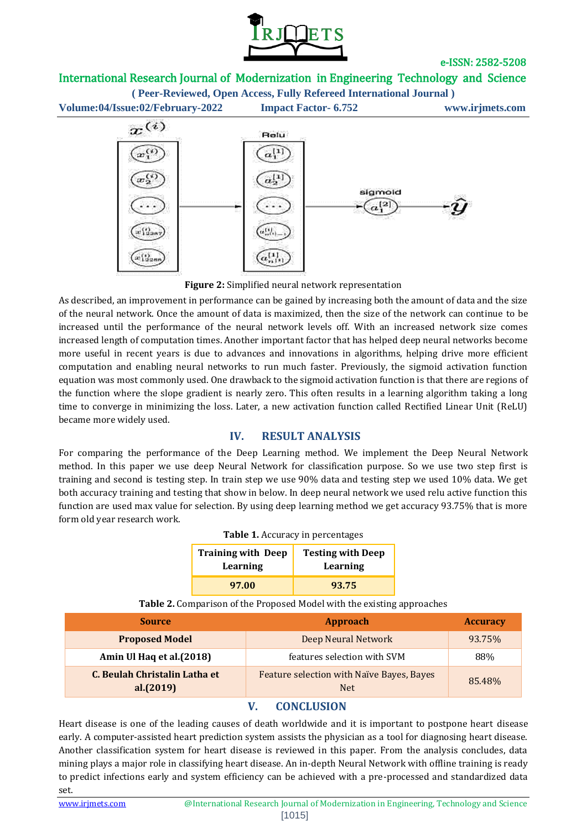

# International Research Journal of Modernization in Engineering Technology and Science

**( Peer-Reviewed, Open Access, Fully Refereed International Journal ) Volume:04/Issue:02/February-2022 Impact Factor- 6.752 www.irjmets.com**



**Figure 2:** Simplified neural network representation

As described, an improvement in performance can be gained by increasing both the amount of data and the size of the neural network. Once the amount of data is maximized, then the size of the network can continue to be increased until the performance of the neural network levels off. With an increased network size comes increased length of computation times. Another important factor that has helped deep neural networks become more useful in recent years is due to advances and innovations in algorithms, helping drive more efficient computation and enabling neural networks to run much faster. Previously, the sigmoid activation function equation was most commonly used. One drawback to the sigmoid activation function is that there are regions of the function where the slope gradient is nearly zero. This often results in a learning algorithm taking a long time to converge in minimizing the loss. Later, a new activation function called Rectified Linear Unit (ReLU) became more widely used.

## **IV. RESULT ANALYSIS**

For comparing the performance of the Deep Learning method. We implement the Deep Neural Network method. In this paper we use deep Neural Network for classification purpose. So we use two step first is training and second is testing step. In train step we use 90% data and testing step we used 10% data. We get both accuracy training and testing that show in below. In deep neural network we used relu active function this function are used max value for selection. By using deep learning method we get accuracy 93.75% that is more form old year research work.

| <b>Training with Deep</b><br>Learning | <b>Testing with Deep</b><br>Learning |  |
|---------------------------------------|--------------------------------------|--|
| 97.00                                 | 93.75                                |  |

**Table 1.** Accuracy in percentages

**Table 2.** Comparison of the Proposed Model with the existing approaches

| <b>Source</b>                              | Approach                                                | <b>Accuracy</b> |
|--------------------------------------------|---------------------------------------------------------|-----------------|
| <b>Proposed Model</b>                      | Deep Neural Network                                     | 93.75%          |
| Amin Ul Haq et al.(2018)                   | features selection with SVM                             | 88%             |
| C. Beulah Christalin Latha et<br>al.(2019) | Feature selection with Naïve Bayes, Bayes<br><b>Net</b> | 85.48%          |

# **V. CONCLUSION**

Heart disease is one of the leading causes of death worldwide and it is important to postpone heart disease early. A computer-assisted heart prediction system assists the physician as a tool for diagnosing heart disease. Another classification system for heart disease is reviewed in this paper. From the analysis concludes, data mining plays a major role in classifying heart disease. An in-depth Neural Network with offline training is ready to predict infections early and system efficiency can be achieved with a pre-processed and standardized data set.